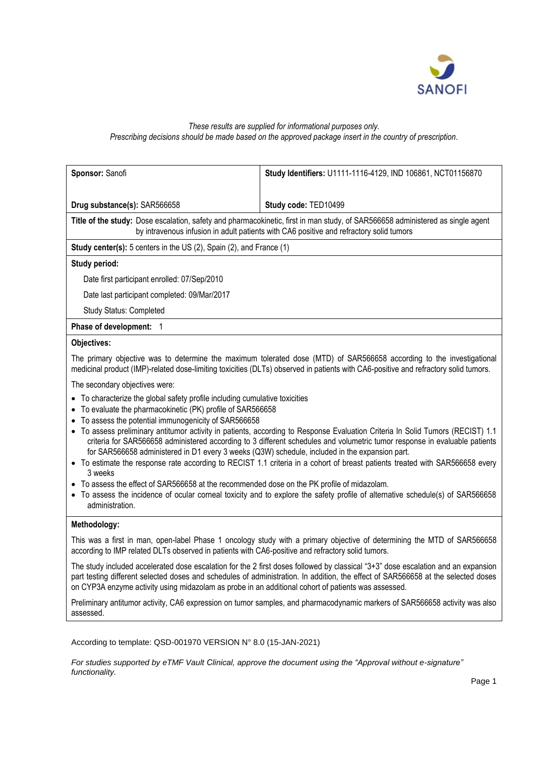

# *These results are supplied for informational purposes only. Prescribing decisions should be made based on the approved package insert in the country of prescription.*

| Sponsor: Sanofi                                                                                                                                                                                                                                                                                                                                                               | Study Identifiers: U1111-1116-4129, IND 106861, NCT01156870                                                                    |
|-------------------------------------------------------------------------------------------------------------------------------------------------------------------------------------------------------------------------------------------------------------------------------------------------------------------------------------------------------------------------------|--------------------------------------------------------------------------------------------------------------------------------|
| Drug substance(s): SAR566658                                                                                                                                                                                                                                                                                                                                                  | Study code: TED10499                                                                                                           |
| Title of the study: Dose escalation, safety and pharmacokinetic, first in man study, of SAR566658 administered as single agent<br>by intravenous infusion in adult patients with CA6 positive and refractory solid tumors                                                                                                                                                     |                                                                                                                                |
| <b>Study center(s):</b> 5 centers in the US (2), Spain (2), and France (1)                                                                                                                                                                                                                                                                                                    |                                                                                                                                |
| Study period:                                                                                                                                                                                                                                                                                                                                                                 |                                                                                                                                |
| Date first participant enrolled: 07/Sep/2010                                                                                                                                                                                                                                                                                                                                  |                                                                                                                                |
| Date last participant completed: 09/Mar/2017                                                                                                                                                                                                                                                                                                                                  |                                                                                                                                |
| Study Status: Completed                                                                                                                                                                                                                                                                                                                                                       |                                                                                                                                |
| Phase of development: 1                                                                                                                                                                                                                                                                                                                                                       |                                                                                                                                |
| Objectives:                                                                                                                                                                                                                                                                                                                                                                   |                                                                                                                                |
| The primary objective was to determine the maximum tolerated dose (MTD) of SAR566658 according to the investigational<br>medicinal product (IMP)-related dose-limiting toxicities (DLTs) observed in patients with CA6-positive and refractory solid tumors.                                                                                                                  |                                                                                                                                |
| The secondary objectives were:                                                                                                                                                                                                                                                                                                                                                |                                                                                                                                |
| • To characterize the global safety profile including cumulative toxicities                                                                                                                                                                                                                                                                                                   |                                                                                                                                |
| • To evaluate the pharmacokinetic (PK) profile of SAR566658<br>• To assess the potential immunogenicity of SAR566658                                                                                                                                                                                                                                                          |                                                                                                                                |
| • To assess preliminary antitumor activity in patients, according to Response Evaluation Criteria In Solid Tumors (RECIST) 1.1<br>criteria for SAR566658 administered according to 3 different schedules and volumetric tumor response in evaluable patients<br>for SAR566658 administered in D1 every 3 weeks (Q3W) schedule, included in the expansion part.                |                                                                                                                                |
| 3 weeks                                                                                                                                                                                                                                                                                                                                                                       | • To estimate the response rate according to RECIST 1.1 criteria in a cohort of breast patients treated with SAR566658 every   |
| • To assess the effect of SAR566658 at the recommended dose on the PK profile of midazolam.                                                                                                                                                                                                                                                                                   |                                                                                                                                |
| administration.                                                                                                                                                                                                                                                                                                                                                               | • To assess the incidence of ocular corneal toxicity and to explore the safety profile of alternative schedule(s) of SAR566658 |
| Methodology:                                                                                                                                                                                                                                                                                                                                                                  |                                                                                                                                |
| This was a first in man, open-label Phase 1 oncology study with a primary objective of determining the MTD of SAR566658<br>according to IMP related DLTs observed in patients with CA6-positive and refractory solid tumors.                                                                                                                                                  |                                                                                                                                |
| The study included accelerated dose escalation for the 2 first doses followed by classical "3+3" dose escalation and an expansion<br>part testing different selected doses and schedules of administration. In addition, the effect of SAR566658 at the selected doses<br>on CYP3A enzyme activity using midazolam as probe in an additional cohort of patients was assessed. |                                                                                                                                |
| Preliminary antitumor activity, CA6 expression on tumor samples, and pharmacodynamic markers of SAR566658 activity was also                                                                                                                                                                                                                                                   |                                                                                                                                |

According to template: QSD-001970 VERSION N° 8.0 (15-JAN-2021)

assessed.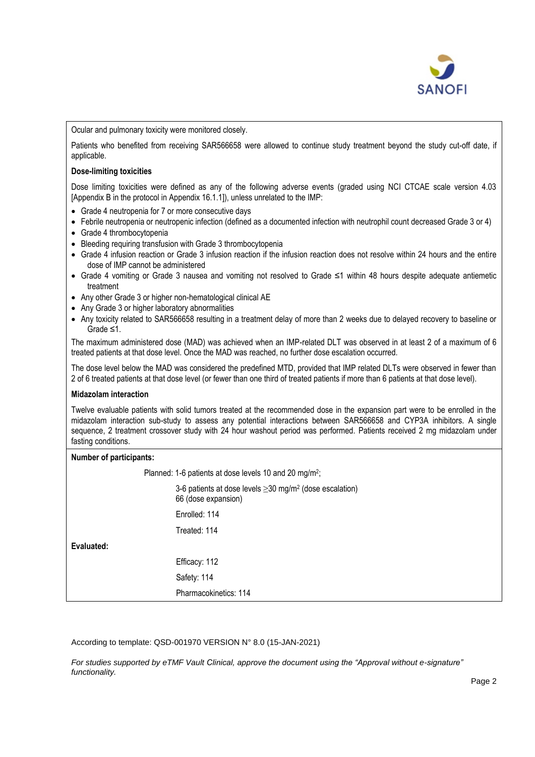

Ocular and pulmonary toxicity were monitored closely.

Patients who benefited from receiving SAR566658 were allowed to continue study treatment beyond the study cut-off date, if applicable.

## **Dose-limiting toxicities**

Dose limiting toxicities were defined as any of the following adverse events (graded using NCI CTCAE scale version 4.03 [Appendix B in the protocol in Appendix 16.1.1]), unless unrelated to the IMP:

- Grade 4 neutropenia for 7 or more consecutive days
- Febrile neutropenia or neutropenic infection (defined as a documented infection with neutrophil count decreased Grade 3 or 4)
- Grade 4 thrombocytopenia
- Bleeding requiring transfusion with Grade 3 thrombocytopenia
- Grade 4 infusion reaction or Grade 3 infusion reaction if the infusion reaction does not resolve within 24 hours and the entire dose of IMP cannot be administered
- Grade 4 vomiting or Grade 3 nausea and vomiting not resolved to Grade ≤1 within 48 hours despite adequate antiemetic treatment
- Any other Grade 3 or higher non-hematological clinical AE
- Any Grade 3 or higher laboratory abnormalities
- Any toxicity related to SAR566658 resulting in a treatment delay of more than 2 weeks due to delayed recovery to baseline or Grade ≤1.

The maximum administered dose (MAD) was achieved when an IMP-related DLT was observed in at least 2 of a maximum of 6 treated patients at that dose level. Once the MAD was reached, no further dose escalation occurred.

The dose level below the MAD was considered the predefined MTD, provided that IMP related DLTs were observed in fewer than 2 of 6 treated patients at that dose level (or fewer than one third of treated patients if more than 6 patients at that dose level).

### **Midazolam interaction**

Twelve evaluable patients with solid tumors treated at the recommended dose in the expansion part were to be enrolled in the midazolam interaction sub-study to assess any potential interactions between SAR566658 and CYP3A inhibitors. A single sequence, 2 treatment crossover study with 24 hour washout period was performed. Patients received 2 mg midazolam under fasting conditions.

# **Number of participants:**

|            | Planned: 1-6 patients at dose levels 10 and 20 mg/m <sup>2</sup> ;                               |
|------------|--------------------------------------------------------------------------------------------------|
|            | 3-6 patients at dose levels $\geq$ 30 mg/m <sup>2</sup> (dose escalation)<br>66 (dose expansion) |
|            | Enrolled: 114                                                                                    |
|            | Treated: 114                                                                                     |
| Evaluated: |                                                                                                  |
|            | Efficacy: 112                                                                                    |
|            | Safety: 114                                                                                      |
|            | Pharmacokinetics: 114                                                                            |

According to template: QSD-001970 VERSION N° 8.0 (15-JAN-2021)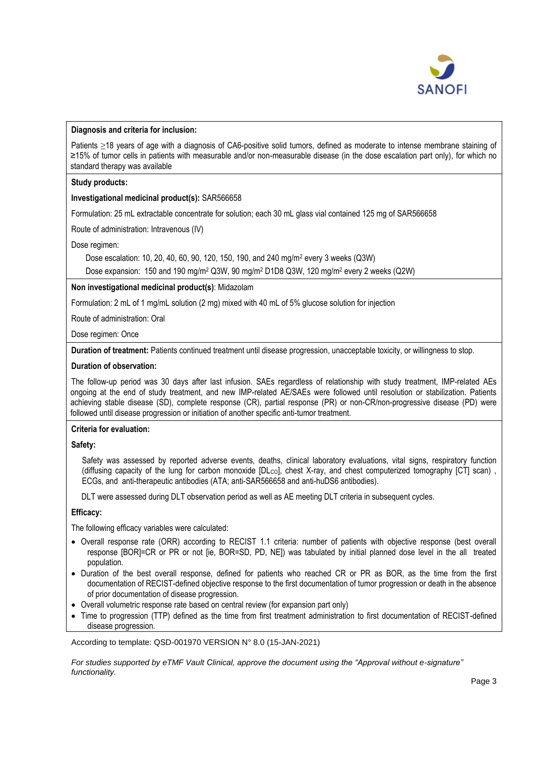

## **Diagnosis and criteria for inclusion:**

Patients ≥18 years of age with a diagnosis of CA6-positive solid tumors, defined as moderate to intense membrane staining of ≥15% of tumor cells in patients with measurable and/or non-measurable disease (in the dose escalation part only), for which no standard therapy was available

## **Study products:**

## **Investigational medicinal product(s):** SAR566658

Formulation: 25 mL extractable concentrate for solution; each 30 mL glass vial contained 125 mg of SAR566658

Route of administration: Intravenous (IV)

Dose regimen:

Dose escalation: 10, 20, 40, 60, 90, 120, 150, 190, and 240 mg/m<sup>2</sup> every 3 weeks (Q3W)

Dose expansion: 150 and 190 mg/m<sup>2</sup> Q3W, 90 mg/m<sup>2</sup> D1D8 Q3W, 120 mg/m<sup>2</sup> every 2 weeks (Q2W)

# **Non investigational medicinal product(s)**: Midazolam

Formulation: 2 mL of 1 mg/mL solution (2 mg) mixed with 40 mL of 5% glucose solution for injection

Route of administration: Oral

Dose regimen: Once

**Duration of treatment:** Patients continued treatment until disease progression, unacceptable toxicity, or willingness to stop.

## **Duration of observation:**

The follow-up period was 30 days after last infusion. SAEs regardless of relationship with study treatment, IMP-related AEs ongoing at the end of study treatment, and new IMP-related AE/SAEs were followed until resolution or stabilization. Patients achieving stable disease (SD), complete response (CR), partial response (PR) or non-CR/non-progressive disease (PD) were followed until disease progression or initiation of another specific anti-tumor treatment.

## **Criteria for evaluation:**

### **Safety:**

Safety was assessed by reported adverse events, deaths, clinical laboratory evaluations, vital signs, respiratory function (diffusing capacity of the lung for carbon monoxide [DLco], chest X-ray, and chest computerized tomography [CT] scan), ECGs, and anti-therapeutic antibodies (ATA; anti-SAR566658 and anti-huDS6 antibodies).

DLT were assessed during DLT observation period as well as AE meeting DLT criteria in subsequent cycles.

### **Efficacy:**

The following efficacy variables were calculated:

- Overall response rate (ORR) according to RECIST 1.1 criteria: number of patients with objective response (best overall response [BOR]=CR or PR or not [ie, BOR=SD, PD, NE]) was tabulated by initial planned dose level in the all treated population.
- Duration of the best overall response, defined for patients who reached CR or PR as BOR, as the time from the first documentation of RECIST-defined objective response to the first documentation of tumor progression or death in the absence of prior documentation of disease progression.
- Overall volumetric response rate based on central review (for expansion part only)
- Time to progression (TTP) defined as the time from first treatment administration to first documentation of RECIST-defined disease progression.

According to template: QSD-001970 VERSION N° 8.0 (15-JAN-2021)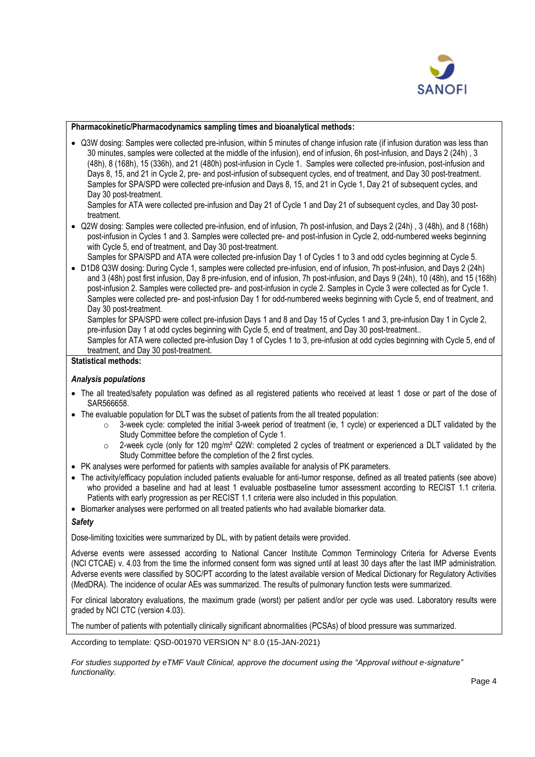

## **Pharmacokinetic/Pharmacodynamics sampling times and bioanalytical methods:**

• Q3W dosing: Samples were collected pre-infusion, within 5 minutes of change infusion rate (if infusion duration was less than 30 minutes, samples were collected at the middle of the infusion), end of infusion, 6h post-infusion, and Days 2 (24h) , 3 (48h), 8 (168h), 15 (336h), and 21 (480h) post-infusion in Cycle 1. Samples were collected pre-infusion, post-infusion and Days 8, 15, and 21 in Cycle 2, pre- and post-infusion of subsequent cycles, end of treatment, and Day 30 post-treatment. Samples for SPA/SPD were collected pre-infusion and Days 8, 15, and 21 in Cycle 1, Day 21 of subsequent cycles, and Day 30 post-treatment.

Samples for ATA were collected pre-infusion and Day 21 of Cycle 1 and Day 21 of subsequent cycles, and Day 30 posttreatment.

• Q2W dosing: Samples were collected pre-infusion, end of infusion, 7h post-infusion, and Days 2 (24h) , 3 (48h), and 8 (168h) post-infusion in Cycles 1 and 3. Samples were collected pre- and post-infusion in Cycle 2, odd-numbered weeks beginning with Cycle 5, end of treatment, and Day 30 post-treatment.

Samples for SPA/SPD and ATA were collected pre-infusion Day 1 of Cycles 1 to 3 and odd cycles beginning at Cycle 5.

• D1D8 Q3W dosing: During Cycle 1, samples were collected pre-infusion, end of infusion, 7h post-infusion, and Days 2 (24h) and 3 (48h) post first infusion, Day 8 pre-infusion, end of infusion, 7h post-infusion, and Days 9 (24h), 10 (48h), and 15 (168h) post-infusion 2. Samples were collected pre- and post-infusion in cycle 2. Samples in Cycle 3 were collected as for Cycle 1. Samples were collected pre- and post-infusion Day 1 for odd-numbered weeks beginning with Cycle 5, end of treatment, and Day 30 post-treatment.

Samples for SPA/SPD were collect pre-infusion Days 1 and 8 and Day 15 of Cycles 1 and 3, pre-infusion Day 1 in Cycle 2, pre-infusion Day 1 at odd cycles beginning with Cycle 5, end of treatment, and Day 30 post-treatment..

Samples for ATA were collected pre-infusion Day 1 of Cycles 1 to 3, pre-infusion at odd cycles beginning with Cycle 5, end of treatment, and Day 30 post-treatment.

# **Statistical methods:**

# *Analysis populations*

- The all treated/safety population was defined as all registered patients who received at least 1 dose or part of the dose of SAR566658.
- The evaluable population for DLT was the subset of patients from the all treated population:
	- $\circ$  3-week cycle: completed the initial 3-week period of treatment (ie, 1 cycle) or experienced a DLT validated by the Study Committee before the completion of Cycle 1.
	- $\circ$  2-week cycle (only for 120 mg/m<sup>2</sup> Q2W: completed 2 cycles of treatment or experienced a DLT validated by the Study Committee before the completion of the 2 first cycles.
- PK analyses were performed for patients with samples available for analysis of PK parameters.
- The activity/efficacy population included patients evaluable for anti-tumor response, defined as all treated patients (see above) who provided a baseline and had at least 1 evaluable postbaseline tumor assessment according to RECIST 1.1 criteria. Patients with early progression as per RECIST 1.1 criteria were also included in this population.
- Biomarker analyses were performed on all treated patients who had available biomarker data.

### *Safety*

Dose-limiting toxicities were summarized by DL, with by patient details were provided.

Adverse events were assessed according to National Cancer Institute Common Terminology Criteria for Adverse Events (NCI CTCAE) v. 4.03 from the time the informed consent form was signed until at least 30 days after the last IMP administration. Adverse events were classified by SOC/PT according to the latest available version of Medical Dictionary for Regulatory Activities (MedDRA). The incidence of ocular AEs was summarized. The results of pulmonary function tests were summarized.

For clinical laboratory evaluations, the maximum grade (worst) per patient and/or per cycle was used. Laboratory results were graded by NCI CTC (version 4.03).

The number of patients with potentially clinically significant abnormalities (PCSAs) of blood pressure was summarized.

According to template: QSD-001970 VERSION N° 8.0 (15-JAN-2021)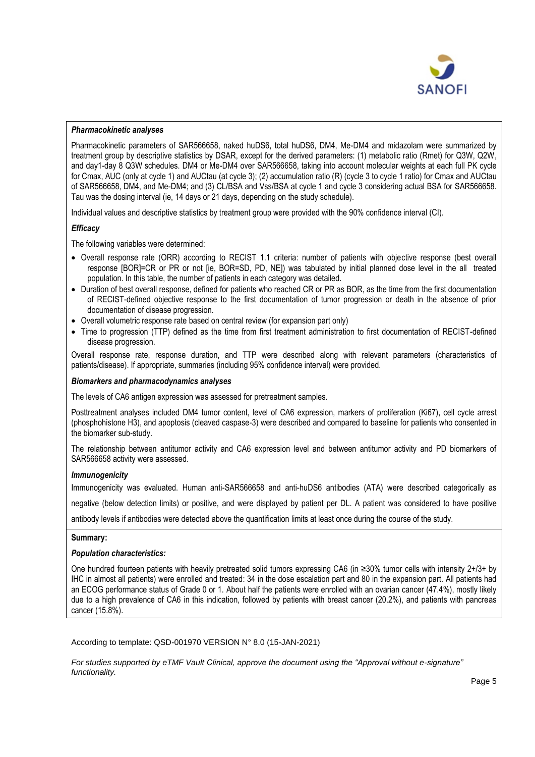

## *Pharmacokinetic analyses*

Pharmacokinetic parameters of SAR566658, naked huDS6, total huDS6, DM4, Me-DM4 and midazolam were summarized by treatment group by descriptive statistics by DSAR, except for the derived parameters: (1) metabolic ratio (Rmet) for Q3W, Q2W, and day1-day 8 Q3W schedules. DM4 or Me-DM4 over SAR566658, taking into account molecular weights at each full PK cycle for Cmax, AUC (only at cycle 1) and AUCtau (at cycle 3); (2) accumulation ratio (R) (cycle 3 to cycle 1 ratio) for Cmax and AUCtau of SAR566658, DM4, and Me-DM4; and (3) CL/BSA and Vss/BSA at cycle 1 and cycle 3 considering actual BSA for SAR566658. Tau was the dosing interval (ie, 14 days or 21 days, depending on the study schedule).

Individual values and descriptive statistics by treatment group were provided with the 90% confidence interval (CI).

# *Efficacy*

The following variables were determined:

- Overall response rate (ORR) according to RECIST 1.1 criteria: number of patients with objective response (best overall response [BOR]=CR or PR or not [ie, BOR=SD, PD, NE]) was tabulated by initial planned dose level in the all treated population. In this table, the number of patients in each category was detailed.
- Duration of best overall response, defined for patients who reached CR or PR as BOR, as the time from the first documentation of RECIST-defined objective response to the first documentation of tumor progression or death in the absence of prior documentation of disease progression.
- Overall volumetric response rate based on central review (for expansion part only)
- Time to progression (TTP) defined as the time from first treatment administration to first documentation of RECIST-defined disease progression.

Overall response rate, response duration, and TTP were described along with relevant parameters (characteristics of patients/disease). If appropriate, summaries (including 95% confidence interval) were provided.

### *Biomarkers and pharmacodynamics analyses*

The levels of CA6 antigen expression was assessed for pretreatment samples.

Posttreatment analyses included DM4 tumor content, level of CA6 expression, markers of proliferation (Ki67), cell cycle arrest (phosphohistone H3), and apoptosis (cleaved caspase-3) were described and compared to baseline for patients who consented in the biomarker sub-study.

The relationship between antitumor activity and CA6 expression level and between antitumor activity and PD biomarkers of SAR566658 activity were assessed.

# *Immunogenicity*

Immunogenicity was evaluated. Human anti-SAR566658 and anti-huDS6 antibodies (ATA) were described categorically as

negative (below detection limits) or positive, and were displayed by patient per DL. A patient was considered to have positive

antibody levels if antibodies were detected above the quantification limits at least once during the course of the study.

### **Summary:**

# *Population characteristics:*

One hundred fourteen patients with heavily pretreated solid tumors expressing CA6 (in ≥30% tumor cells with intensity 2+/3+ by IHC in almost all patients) were enrolled and treated: 34 in the dose escalation part and 80 in the expansion part. All patients had an ECOG performance status of Grade 0 or 1. About half the patients were enrolled with an ovarian cancer (47.4%), mostly likely due to a high prevalence of CA6 in this indication, followed by patients with breast cancer (20.2%), and patients with pancreas cancer (15.8%).

According to template: QSD-001970 VERSION N° 8.0 (15-JAN-2021)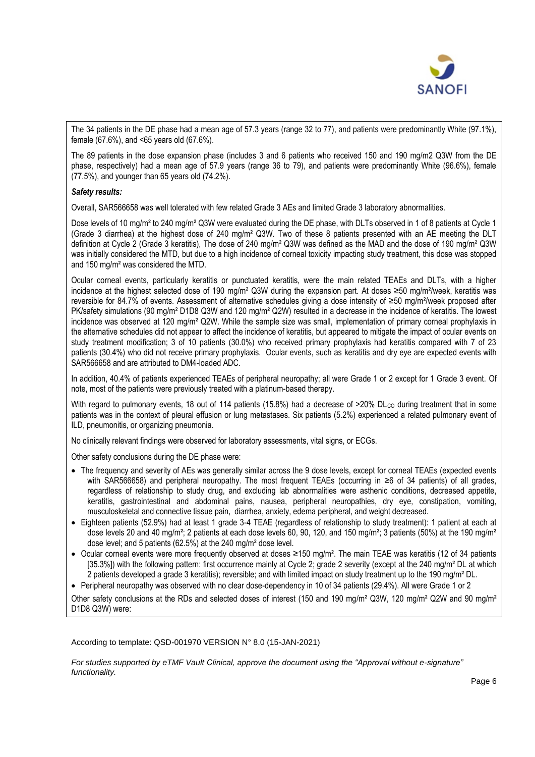

The 34 patients in the DE phase had a mean age of 57.3 years (range 32 to 77), and patients were predominantly White (97.1%), female (67.6%), and <65 years old (67.6%).

The 89 patients in the dose expansion phase (includes 3 and 6 patients who received 150 and 190 mg/m2 Q3W from the DE phase, respectively) had a mean age of 57.9 years (range 36 to 79), and patients were predominantly White (96.6%), female (77.5%), and younger than 65 years old (74.2%).

# *Safety results:*

Overall, SAR566658 was well tolerated with few related Grade 3 AEs and limited Grade 3 laboratory abnormalities.

Dose levels of 10 mg/m<sup>2</sup> to 240 mg/m<sup>2</sup> Q3W were evaluated during the DE phase, with DLTs observed in 1 of 8 patients at Cycle 1 (Grade 3 diarrhea) at the highest dose of 240 mg/m² Q3W. Two of these 8 patients presented with an AE meeting the DLT definition at Cycle 2 (Grade 3 keratitis), The dose of 240 mg/m<sup>2</sup> Q3W was defined as the MAD and the dose of 190 mg/m<sup>2</sup> Q3W was initially considered the MTD, but due to a high incidence of corneal toxicity impacting study treatment, this dose was stopped and 150 mg/m² was considered the MTD.

Ocular corneal events, particularly keratitis or punctuated keratitis, were the main related TEAEs and DLTs, with a higher incidence at the highest selected dose of 190 mg/m² Q3W during the expansion part. At doses ≥50 mg/m²/week, keratitis was reversible for 84.7% of events. Assessment of alternative schedules giving a dose intensity of ≥50 mg/m²/week proposed after PK/safety simulations (90 mg/m² D1D8 Q3W and 120 mg/m² Q2W) resulted in a decrease in the incidence of keratitis. The lowest incidence was observed at 120 mg/m<sup>2</sup> Q2W. While the sample size was small, implementation of primary corneal prophylaxis in the alternative schedules did not appear to affect the incidence of keratitis, but appeared to mitigate the impact of ocular events on study treatment modification; 3 of 10 patients (30.0%) who received primary prophylaxis had keratitis compared with 7 of 23 patients (30.4%) who did not receive primary prophylaxis. Ocular events, such as keratitis and dry eye are expected events with SAR566658 and are attributed to DM4-loaded ADC.

In addition, 40.4% of patients experienced TEAEs of peripheral neuropathy; all were Grade 1 or 2 except for 1 Grade 3 event. Of note, most of the patients were previously treated with a platinum-based therapy.

With regard to pulmonary events, 18 out of 114 patients (15.8%) had a decrease of >20% DLco during treatment that in some patients was in the context of pleural effusion or lung metastases. Six patients (5.2%) experienced a related pulmonary event of ILD, pneumonitis, or organizing pneumonia.

No clinically relevant findings were observed for laboratory assessments, vital signs, or ECGs.

Other safety conclusions during the DE phase were:

- The frequency and severity of AEs was generally similar across the 9 dose levels, except for corneal TEAEs (expected events with SAR566658) and peripheral neuropathy. The most frequent TEAEs (occurring in ≥6 of 34 patients) of all grades, regardless of relationship to study drug, and excluding lab abnormalities were asthenic conditions, decreased appetite, keratitis, gastrointestinal and abdominal pains, nausea, peripheral neuropathies, dry eye, constipation, vomiting, musculoskeletal and connective tissue pain, diarrhea, anxiety, edema peripheral, and weight decreased.
- Eighteen patients (52.9%) had at least 1 grade 3-4 TEAE (regardless of relationship to study treatment): 1 patient at each at dose levels 20 and 40 mg/m<sup>2</sup>; 2 patients at each dose levels 60, 90, 120, and 150 mg/m<sup>2</sup>; 3 patients (50%) at the 190 mg/m<sup>2</sup> dose level; and 5 patients (62.5%) at the 240 mg/m² dose level.
- Ocular corneal events were more frequently observed at doses ≥150 mg/m². The main TEAE was keratitis (12 of 34 patients [35.3%]) with the following pattern: first occurrence mainly at Cycle 2; grade 2 severity (except at the 240 mg/m<sup>2</sup> DL at which 2 patients developed a grade 3 keratitis); reversible; and with limited impact on study treatment up to the 190 mg/m<sup>2</sup> DL.
- Peripheral neuropathy was observed with no clear dose-dependency in 10 of 34 patients (29.4%). All were Grade 1 or 2

Other safety conclusions at the RDs and selected doses of interest (150 and 190 mg/m<sup>2</sup> Q3W, 120 mg/m<sup>2</sup> Q2W and 90 mg/m<sup>2</sup> D1D8 Q3W) were:

According to template: QSD-001970 VERSION N° 8.0 (15-JAN-2021)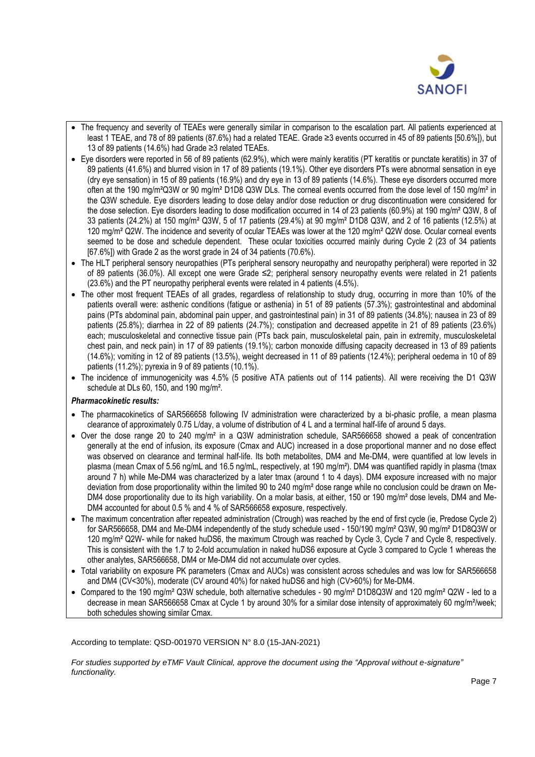

- The frequency and severity of TEAEs were generally similar in comparison to the escalation part. All patients experienced at least 1 TEAE, and 78 of 89 patients (87.6%) had a related TEAE. Grade ≥3 events occurred in 45 of 89 patients [50.6%]), but 13 of 89 patients (14.6%) had Grade ≥3 related TEAEs.
- Eye disorders were reported in 56 of 89 patients (62.9%), which were mainly keratitis (PT keratitis or punctate keratitis) in 37 of 89 patients (41.6%) and blurred vision in 17 of 89 patients (19.1%). Other eye disorders PTs were abnormal sensation in eye (dry eye sensation) in 15 of 89 patients (16.9%) and dry eye in 13 of 89 patients (14.6%). These eye disorders occurred more often at the 190 mg/m²Q3W or 90 mg/m² D1D8 Q3W DLs. The corneal events occurred from the dose level of 150 mg/m² in the Q3W schedule. Eye disorders leading to dose delay and/or dose reduction or drug discontinuation were considered for the dose selection. Eye disorders leading to dose modification occurred in 14 of 23 patients (60.9%) at 190 mg/m<sup>2</sup> Q3W, 8 of 33 patients (24.2%) at 150 mg/m² Q3W, 5 of 17 patients (29.4%) at 90 mg/m² D1D8 Q3W, and 2 of 16 patients (12.5%) at 120 mg/m<sup>2</sup> Q2W. The incidence and severity of ocular TEAEs was lower at the 120 mg/m<sup>2</sup> Q2W dose. Ocular corneal events seemed to be dose and schedule dependent. These ocular toxicities occurred mainly during Cycle 2 (23 of 34 patients  $[67.6\%]$ ) with Grade 2 as the worst grade in 24 of 34 patients (70.6%).
- The HLT peripheral sensory neuropathies (PTs peripheral sensory neuropathy and neuropathy peripheral) were reported in 32 of 89 patients (36.0%). All except one were Grade ≤2; peripheral sensory neuropathy events were related in 21 patients (23.6%) and the PT neuropathy peripheral events were related in 4 patients (4.5%).
- The other most frequent TEAEs of all grades, regardless of relationship to study drug, occurring in more than 10% of the patients overall were: asthenic conditions (fatigue or asthenia) in 51 of 89 patients (57.3%); gastrointestinal and abdominal pains (PTs abdominal pain, abdominal pain upper, and gastrointestinal pain) in 31 of 89 patients (34.8%); nausea in 23 of 89 patients (25.8%); diarrhea in 22 of 89 patients (24.7%); constipation and decreased appetite in 21 of 89 patients (23.6%) each; musculoskeletal and connective tissue pain (PTs back pain, musculoskeletal pain, pain in extremity, musculoskeletal chest pain, and neck pain) in 17 of 89 patients (19.1%); carbon monoxide diffusing capacity decreased in 13 of 89 patients (14.6%); vomiting in 12 of 89 patients (13.5%), weight decreased in 11 of 89 patients (12.4%); peripheral oedema in 10 of 89 patients (11.2%); pyrexia in 9 of 89 patients (10.1%).
- The incidence of immunogenicity was 4.5% (5 positive ATA patients out of 114 patients). All were receiving the D1 Q3W schedule at DLs 60, 150, and 190 mg/m².

# *Pharmacokinetic results:*

- The pharmacokinetics of SAR566658 following IV administration were characterized by a bi-phasic profile, a mean plasma clearance of approximately 0.75 L/day, a volume of distribution of 4 L and a terminal half-life of around 5 days.
- Over the dose range 20 to 240 mg/m² in a Q3W administration schedule, SAR566658 showed a peak of concentration generally at the end of infusion, its exposure (Cmax and AUC) increased in a dose proportional manner and no dose effect was observed on clearance and terminal half-life. Its both metabolites, DM4 and Me-DM4, were quantified at low levels in plasma (mean Cmax of 5.56 ng/mL and 16.5 ng/mL, respectively, at 190 mg/m²). DM4 was quantified rapidly in plasma (tmax around 7 h) while Me-DM4 was characterized by a later tmax (around 1 to 4 days). DM4 exposure increased with no major deviation from dose proportionality within the limited 90 to 240 mg/m<sup>2</sup> dose range while no conclusion could be drawn on Me-DM4 dose proportionality due to its high variability. On a molar basis, at either, 150 or 190 mg/m<sup>2</sup> dose levels, DM4 and Me-DM4 accounted for about 0.5 % and 4 % of SAR566658 exposure, respectively.
- The maximum concentration after repeated administration (Ctrough) was reached by the end of first cycle (ie, Predose Cycle 2) for SAR566658, DM4 and Me-DM4 independently of the study schedule used - 150/190 mg/m² Q3W, 90 mg/m² D1D8Q3W or 120 mg/m² Q2W- while for naked huDS6, the maximum Ctrough was reached by Cycle 3, Cycle 7 and Cycle 8, respectively. This is consistent with the 1.7 to 2-fold accumulation in naked huDS6 exposure at Cycle 3 compared to Cycle 1 whereas the other analytes, SAR566658, DM4 or Me-DM4 did not accumulate over cycles.
- Total variability on exposure PK parameters (Cmax and AUCs) was consistent across schedules and was low for SAR566658 and DM4 (CV<30%), moderate (CV around 40%) for naked huDS6 and high (CV>60%) for Me-DM4.
- Compared to the 190 mg/m² Q3W schedule, both alternative schedules 90 mg/m² D1D8Q3W and 120 mg/m² Q2W led to a decrease in mean SAR566658 Cmax at Cycle 1 by around 30% for a similar dose intensity of approximately 60 mg/m<sup>2</sup>/week; both schedules showing similar Cmax.

According to template: QSD-001970 VERSION N° 8.0 (15-JAN-2021)